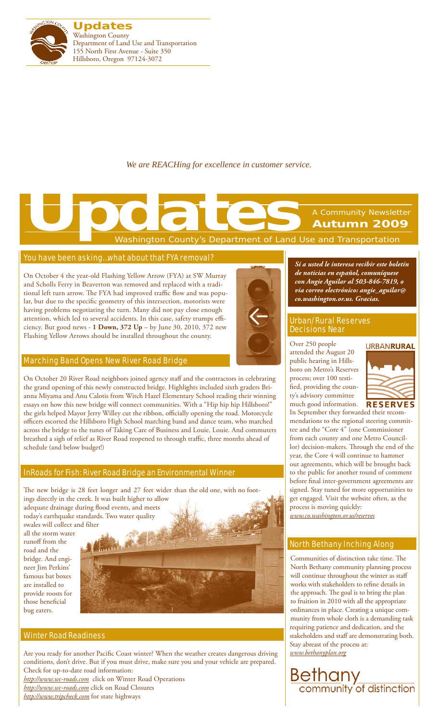

*We are REACHing for excellence in customer service.*

# Washington County's Department of Land Use and Transportation A Community Newsletter **Autumn 2009 Updates**<br> **Updates**<br> **Washington County's Department of Land U**

#### You have been asking…what about that FYA removal?

On October 4 the year-old Flashing Yellow Arrow (FYA) at SW Murray and Scholls Ferry in Beaverton was removed and replaced with a traditional left turn arrow. The FYA had improved traffic flow and was popular, but due to the specific geometry of this intersection, motorists were having problems negotiating the turn. Many did not pay close enough attention, which led to several accidents. In this case, safety trumps efficiency. But good news - **1 Down, 372 Up** – by June 30, 2010, 372 new Flashing Yellow Arrows should be installed throughout the county.

#### Marching Band Opens New River Road Bridge

On October 20 River Road neighbors joined agency staff and the contractors in celebrating the grand opening of this newly constructed bridge. Highlights included sixth graders Brianna Miyama and Anu Calotis from Witch Hazel Elementary School reading their winning essays on how this new bridge will connect communities. With a "Hip hip hip Hillsboro!" the girls helped Mayor Jerry Willey cut the ribbon, officially opening the road. Motorcycle officers escorted the Hillsboro High School marching band and dance team, who marched across the bridge to the tunes of Taking Care of Business and Louie, Louie. And commuters breathed a sigh of relief as River Road reopened to through traffic, three months ahead of schedule (and below budget!)

#### InRoads for Fish: River Road Bridge an Environmental Winner

The new bridge is 28 feet longer and 27 feet wider than the old one, with no footings directly in the creek. It was built higher to allow adequate drainage during flood events, and meets today's earthquake standards. Two water quality swales will collect and filter

all the storm water runoff from the road and the bridge. And engineer Jim Perkins' famous bat boxes are installed to provide roosts for those beneficial bug eaters.



### Winter Road Readiness

Are you ready for another Pacific Coast winter? When the weather creates dangerous driving conditions, don't drive. But if you must drive, make sure you and your vehicle are prepared. Check for up-to-date road information:

*http://www.wc-roads.com* click on Winter Road Operations *http://www.wc-roads.com* click on Road Closures *http://www.tripcheck.com* for state highways



*Si a usted le interesa recibir este boletín de noticias en español, comuníquese con Angie Aguilar al 503-846-7819, o via correo electrónico: angie\_aguilar@ co.washington.or.us. Gracias.*

#### Urban/Rural Reserves Decisions Near

Over 250 people attended the August 20 public hearing in Hillsboro on Metro's Reserves process; over 100 testified, providing the county's advisory committee much good information.



In September they forwarded their recommendations to the regional steering committee and the "Core 4" (one Commissioner from each county and one Metro Councillor) decision-makers. Through the end of the year, the Core 4 will continue to hammer out agreements, which will be brought back to the public for another round of comment before final inter-government agreements are signed. Stay tuned for more opportunities to get engaged. Visit the website often, as the process is moving quickly: *www.co.washington.or.us/reserves*

## North Bethany Inching Along

Communities of distinction take time. The North Bethany community planning process will continue throughout the winter as staff works with stakeholders to refine details in the approach. The goal is to bring the plan to fruition in 2010 with all the appropriate ordinances in place. Creating a unique community from whole cloth is a demanding task requiring patience and dedication, and the stakeholders and staff are demonstrating both. Stay abreast of the process at: *www.bethanyplan.org*